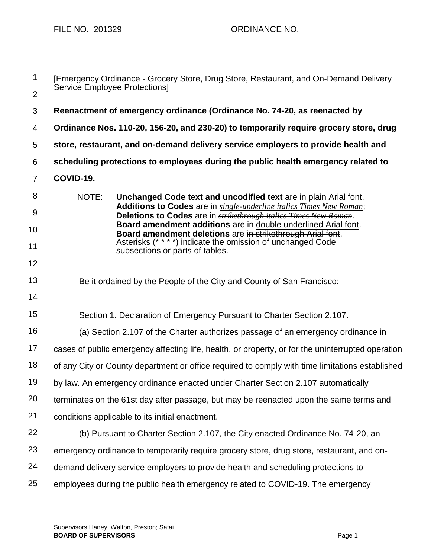FILE NO. 201329 ORDINANCE NO.

| $\mathbf 1$    | [Emergency Ordinance - Grocery Store, Drug Store, Restaurant, and On-Demand Delivery<br>Service Employee Protections]                           |
|----------------|-------------------------------------------------------------------------------------------------------------------------------------------------|
| $\overline{2}$ |                                                                                                                                                 |
| 3              | Reenactment of emergency ordinance (Ordinance No. 74-20, as reenacted by                                                                        |
| 4              | Ordinance Nos. 110-20, 156-20, and 230-20) to temporarily require grocery store, drug                                                           |
| 5              | store, restaurant, and on-demand delivery service employers to provide health and                                                               |
| 6              | scheduling protections to employees during the public health emergency related to                                                               |
| $\overline{7}$ | COVID-19.                                                                                                                                       |
| 8              | NOTE:<br>Unchanged Code text and uncodified text are in plain Arial font.                                                                       |
| 9              | Additions to Codes are in single-underline italics Times New Roman;<br>Deletions to Codes are in <i>strikethrough italies Times New Roman</i> . |
| 10             | Board amendment additions are in double underlined Arial font.<br>Board amendment deletions are in strikethrough Arial font.                    |
| 11             | Asterisks (****) indicate the omission of unchanged Code<br>subsections or parts of tables.                                                     |
| 12             |                                                                                                                                                 |
| 13             | Be it ordained by the People of the City and County of San Francisco:                                                                           |
| 14             |                                                                                                                                                 |
| 15             | Section 1. Declaration of Emergency Pursuant to Charter Section 2.107.                                                                          |
| 16             | (a) Section 2.107 of the Charter authorizes passage of an emergency ordinance in                                                                |
| 17             | cases of public emergency affecting life, health, or property, or for the uninterrupted operation                                               |
| 18             | of any City or County department or office required to comply with time limitations established                                                 |
| 19             | by law. An emergency ordinance enacted under Charter Section 2.107 automatically                                                                |
| 20             | terminates on the 61st day after passage, but may be reenacted upon the same terms and                                                          |
| 21             | conditions applicable to its initial enactment.                                                                                                 |
| 22             | (b) Pursuant to Charter Section 2.107, the City enacted Ordinance No. 74-20, an                                                                 |
| 23             | emergency ordinance to temporarily require grocery store, drug store, restaurant, and on-                                                       |
| 24             | demand delivery service employers to provide health and scheduling protections to                                                               |
| 25             | employees during the public health emergency related to COVID-19. The emergency                                                                 |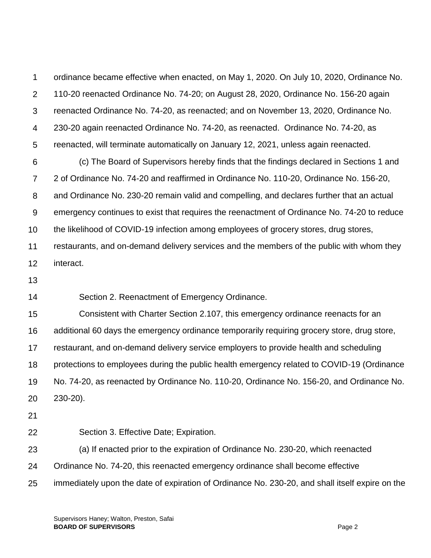1 2 3 4 5 6 7 8 9 10 11 12 13 14 15 16 17 18 ordinance became effective when enacted, on May 1, 2020. On July 10, 2020, Ordinance No. 110-20 reenacted Ordinance No. 74-20; on August 28, 2020, Ordinance No. 156-20 again reenacted Ordinance No. 74-20, as reenacted; and on November 13, 2020, Ordinance No. 230-20 again reenacted Ordinance No. 74-20, as reenacted. Ordinance No. 74-20, as reenacted, will terminate automatically on January 12, 2021, unless again reenacted. (c) The Board of Supervisors hereby finds that the findings declared in Sections 1 and 2 of Ordinance No. 74-20 and reaffirmed in Ordinance No. 110-20, Ordinance No. 156-20, and Ordinance No. 230-20 remain valid and compelling, and declares further that an actual emergency continues to exist that requires the reenactment of Ordinance No. 74-20 to reduce the likelihood of COVID-19 infection among employees of grocery stores, drug stores, restaurants, and on-demand delivery services and the members of the public with whom they interact. Section 2. Reenactment of Emergency Ordinance. Consistent with Charter Section 2.107, this emergency ordinance reenacts for an additional 60 days the emergency ordinance temporarily requiring grocery store, drug store, restaurant, and on-demand delivery service employers to provide health and scheduling protections to employees during the public health emergency related to COVID-19 (Ordinance

19 20 No. 74-20, as reenacted by Ordinance No. 110-20, Ordinance No. 156-20, and Ordinance No. 230-20).

21

22 Section 3. Effective Date; Expiration.

23 (a) If enacted prior to the expiration of Ordinance No. 230-20, which reenacted

24 Ordinance No. 74-20, this reenacted emergency ordinance shall become effective

25 immediately upon the date of expiration of Ordinance No. 230-20, and shall itself expire on the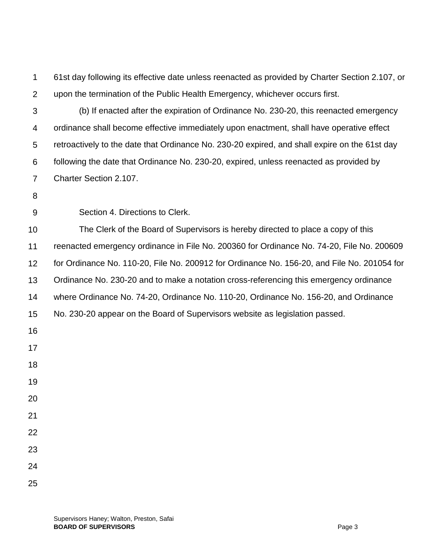61st day following its effective date unless reenacted as provided by Charter Section 2.107, or upon the termination of the Public Health Emergency, whichever occurs first.

 (b) If enacted after the expiration of Ordinance No. 230-20, this reenacted emergency ordinance shall become effective immediately upon enactment, shall have operative effect retroactively to the date that Ordinance No. 230-20 expired, and shall expire on the 61st day following the date that Ordinance No. 230-20, expired, unless reenacted as provided by Charter Section 2.107.

 Section 4. Directions to Clerk.

 The Clerk of the Board of Supervisors is hereby directed to place a copy of this reenacted emergency ordinance in File No. 200360 for Ordinance No. 74-20, File No. 200609 for Ordinance No. 110-20, File No. 200912 for Ordinance No. 156-20, and File No. 201054 for Ordinance No. 230-20 and to make a notation cross-referencing this emergency ordinance where Ordinance No. 74-20, Ordinance No. 110-20, Ordinance No. 156-20, and Ordinance No. 230-20 appear on the Board of Supervisors website as legislation passed.

- 
- 
- 
- 
- 
- 
- 
- 
- 
- 
- 
-